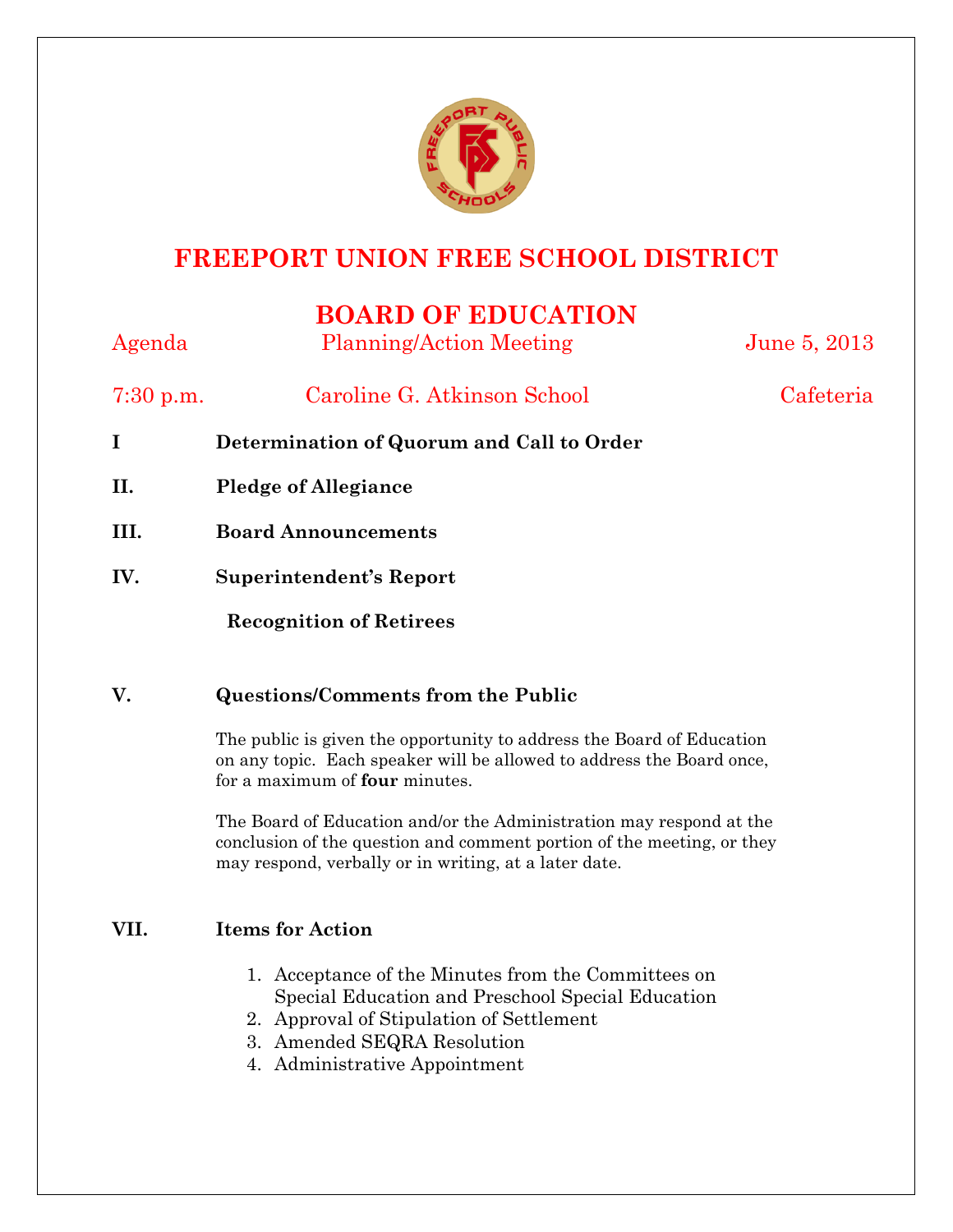

# **FREEPORT UNION FREE SCHOOL DISTRICT**

## **BOARD OF EDUCATION**

| Agenda      | <b>Planning/Action Meeting</b>            | June 5, 2013 |
|-------------|-------------------------------------------|--------------|
| $7:30$ p.m. | Caroline G. Atkinson School               | Cafeteria    |
| I           | Determination of Quorum and Call to Order |              |
| II.         | <b>Pledge of Allegiance</b>               |              |
| III.        | <b>Board Announcements</b>                |              |
| IV.         | Superintendent's Report                   |              |
|             | <b>Recognition of Retirees</b>            |              |

## **V. Questions/Comments from the Public**

The public is given the opportunity to address the Board of Education on any topic. Each speaker will be allowed to address the Board once, for a maximum of **four** minutes.

The Board of Education and/or the Administration may respond at the conclusion of the question and comment portion of the meeting, or they may respond, verbally or in writing, at a later date.

### **VII. Items for Action**

- 1. Acceptance of the Minutes from the Committees on Special Education and Preschool Special Education
- 2. Approval of Stipulation of Settlement
- 3. Amended SEQRA Resolution
- 4. Administrative Appointment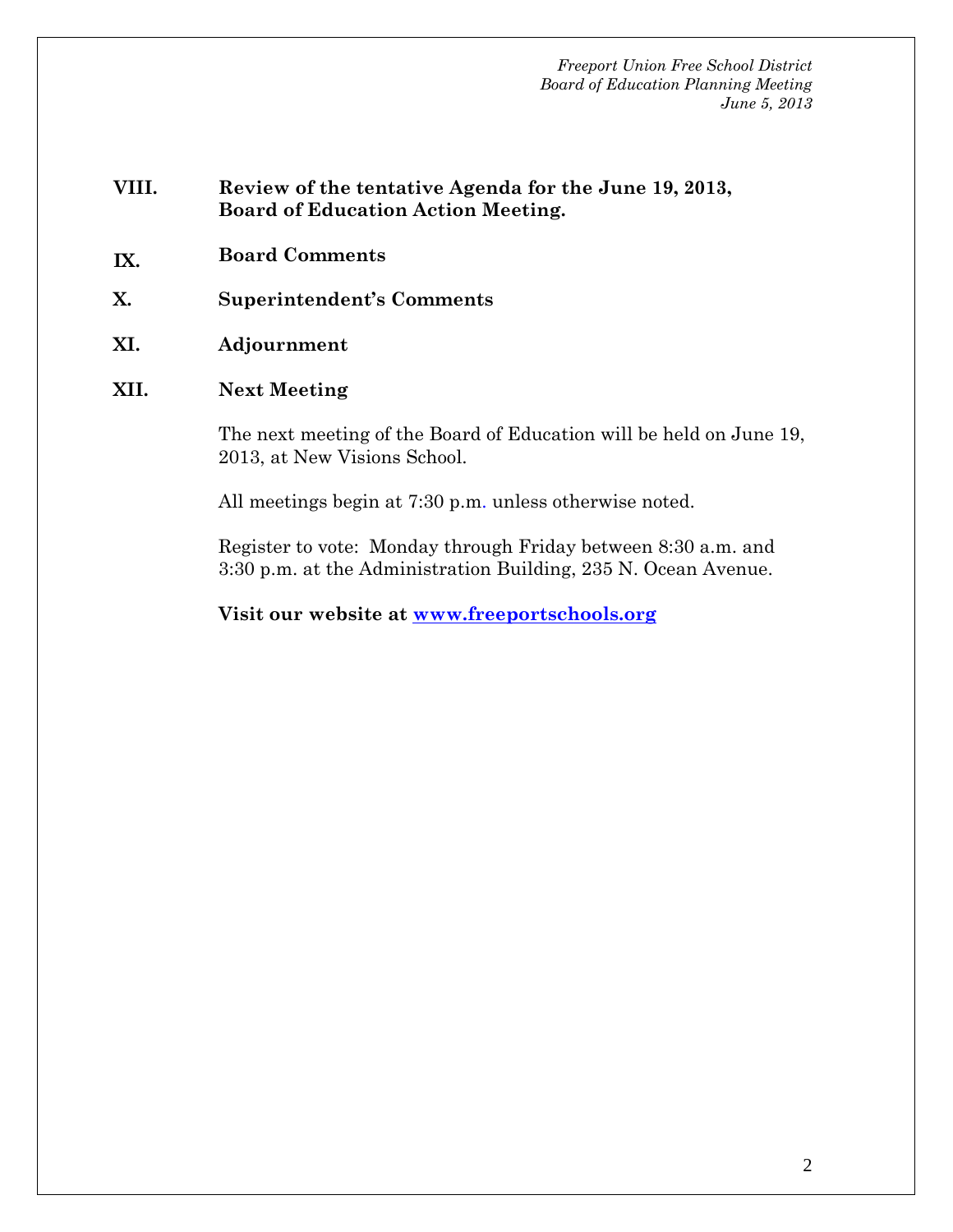- **VIII. Review of the tentative Agenda for the June 19, 2013, Board of Education Action Meeting.**
- **IX. Board Comments**
- **X. Superintendent's Comments**
- **XI. Adjournment**
- **XII. Next Meeting**

The next meeting of the Board of Education will be held on June 19, 2013, at New Visions School.

All meetings begin at 7:30 p.m. unless otherwise noted.

Register to vote: Monday through Friday between 8:30 a.m. and 3:30 p.m. at the Administration Building, 235 N. Ocean Avenue.

**Visit our website at www.freeportschools.org**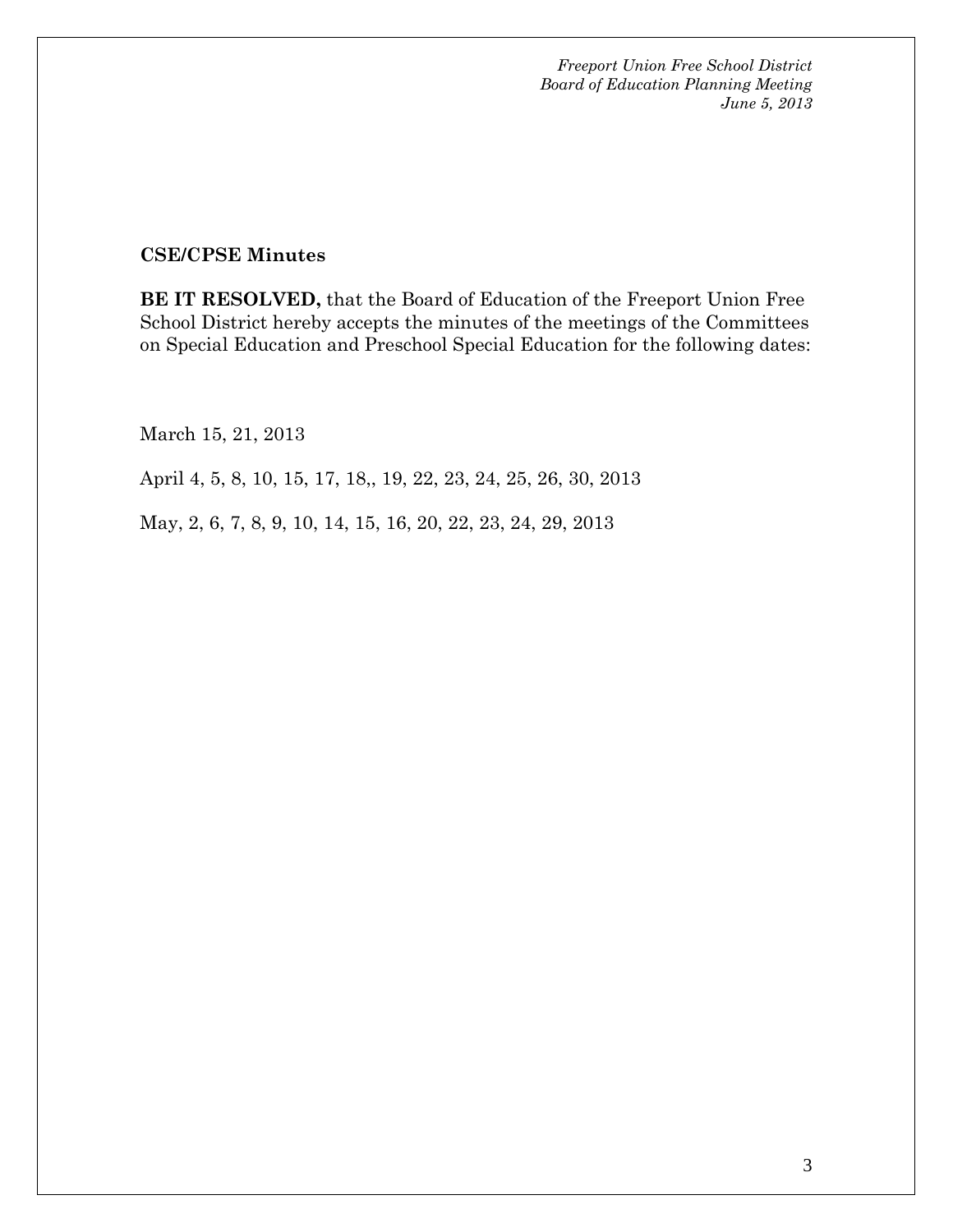#### **CSE/CPSE Minutes**

**BE IT RESOLVED,** that the Board of Education of the Freeport Union Free School District hereby accepts the minutes of the meetings of the Committees on Special Education and Preschool Special Education for the following dates:

March 15, 21, 2013

April 4, 5, 8, 10, 15, 17, 18,, 19, 22, 23, 24, 25, 26, 30, 2013

May, 2, 6, 7, 8, 9, 10, 14, 15, 16, 20, 22, 23, 24, 29, 2013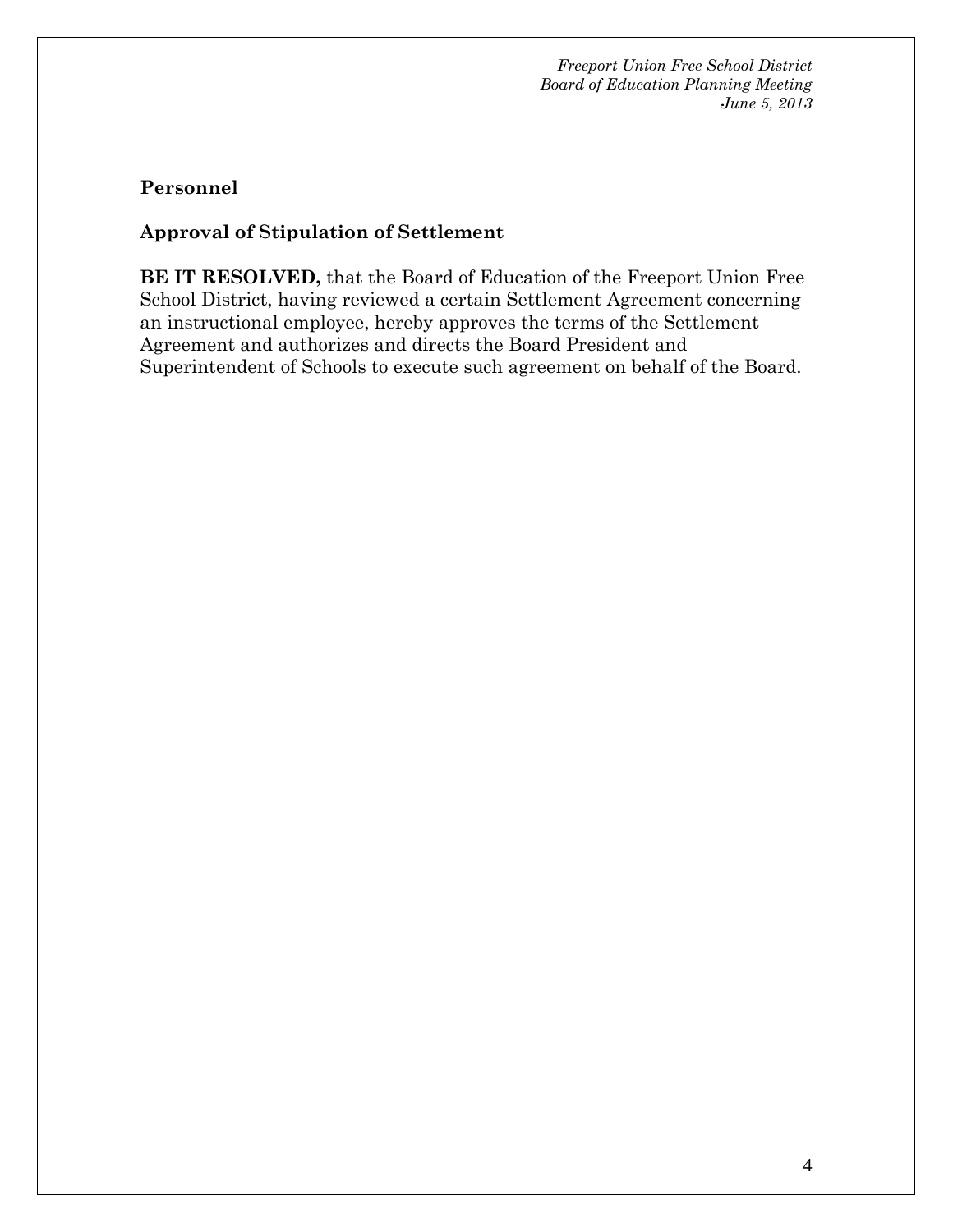## **Personnel**

## **Approval of Stipulation of Settlement**

**BE IT RESOLVED,** that the Board of Education of the Freeport Union Free School District, having reviewed a certain Settlement Agreement concerning an instructional employee, hereby approves the terms of the Settlement Agreement and authorizes and directs the Board President and Superintendent of Schools to execute such agreement on behalf of the Board.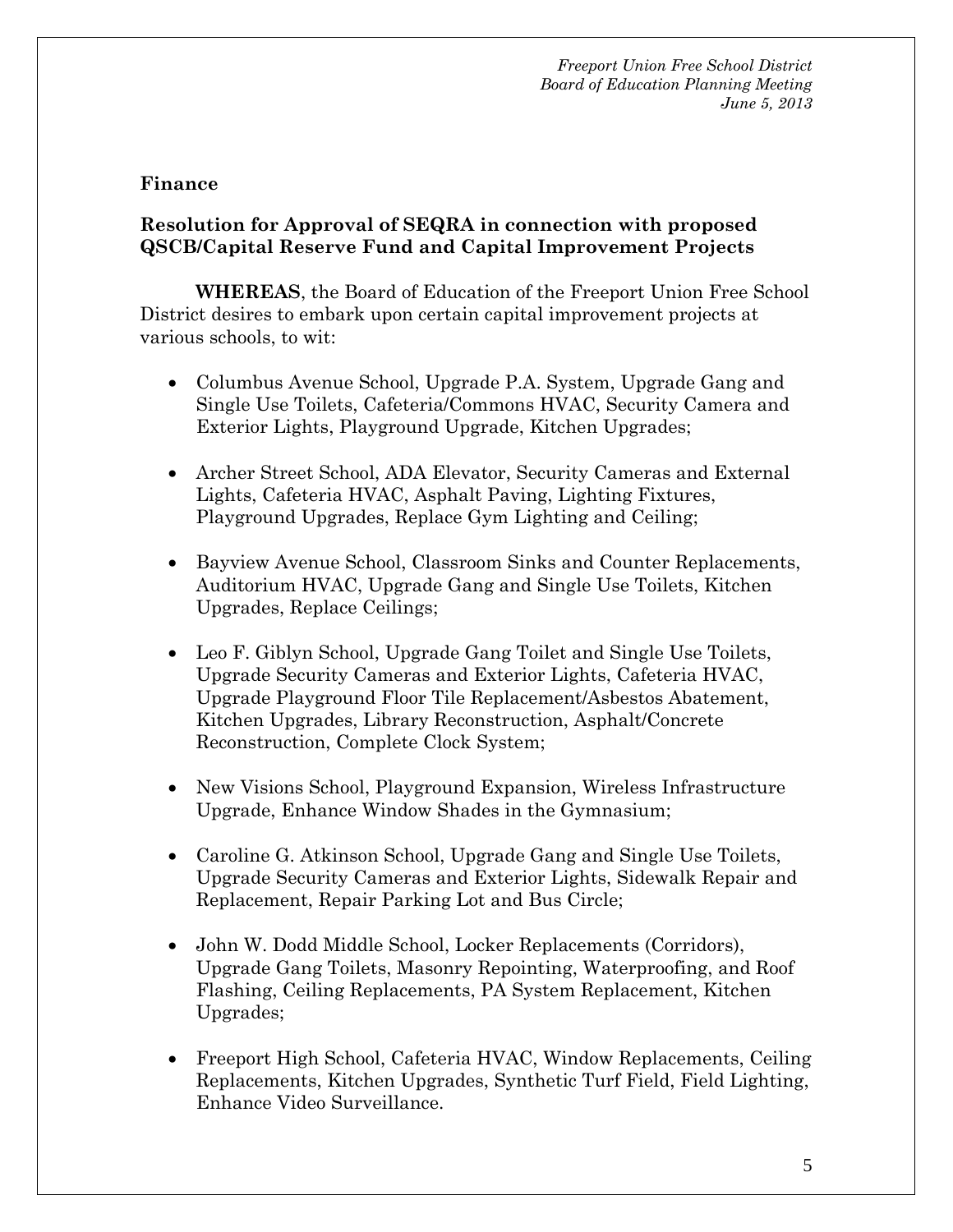#### **Finance**

### **Resolution for Approval of SEQRA in connection with proposed QSCB/Capital Reserve Fund and Capital Improvement Projects**

**WHEREAS**, the Board of Education of the Freeport Union Free School District desires to embark upon certain capital improvement projects at various schools, to wit:

- Columbus Avenue School, Upgrade P.A. System, Upgrade Gang and Single Use Toilets, Cafeteria/Commons HVAC, Security Camera and Exterior Lights, Playground Upgrade, Kitchen Upgrades;
- Archer Street School, ADA Elevator, Security Cameras and External Lights, Cafeteria HVAC, Asphalt Paving, Lighting Fixtures, Playground Upgrades, Replace Gym Lighting and Ceiling;
- Bayview Avenue School, Classroom Sinks and Counter Replacements, Auditorium HVAC, Upgrade Gang and Single Use Toilets, Kitchen Upgrades, Replace Ceilings;
- Leo F. Giblyn School, Upgrade Gang Toilet and Single Use Toilets, Upgrade Security Cameras and Exterior Lights, Cafeteria HVAC, Upgrade Playground Floor Tile Replacement/Asbestos Abatement, Kitchen Upgrades, Library Reconstruction, Asphalt/Concrete Reconstruction, Complete Clock System;
- New Visions School, Playground Expansion, Wireless Infrastructure Upgrade, Enhance Window Shades in the Gymnasium;
- Caroline G. Atkinson School, Upgrade Gang and Single Use Toilets, Upgrade Security Cameras and Exterior Lights, Sidewalk Repair and Replacement, Repair Parking Lot and Bus Circle;
- John W. Dodd Middle School, Locker Replacements (Corridors), Upgrade Gang Toilets, Masonry Repointing, Waterproofing, and Roof Flashing, Ceiling Replacements, PA System Replacement, Kitchen Upgrades;
- Freeport High School, Cafeteria HVAC, Window Replacements, Ceiling Replacements, Kitchen Upgrades, Synthetic Turf Field, Field Lighting, Enhance Video Surveillance.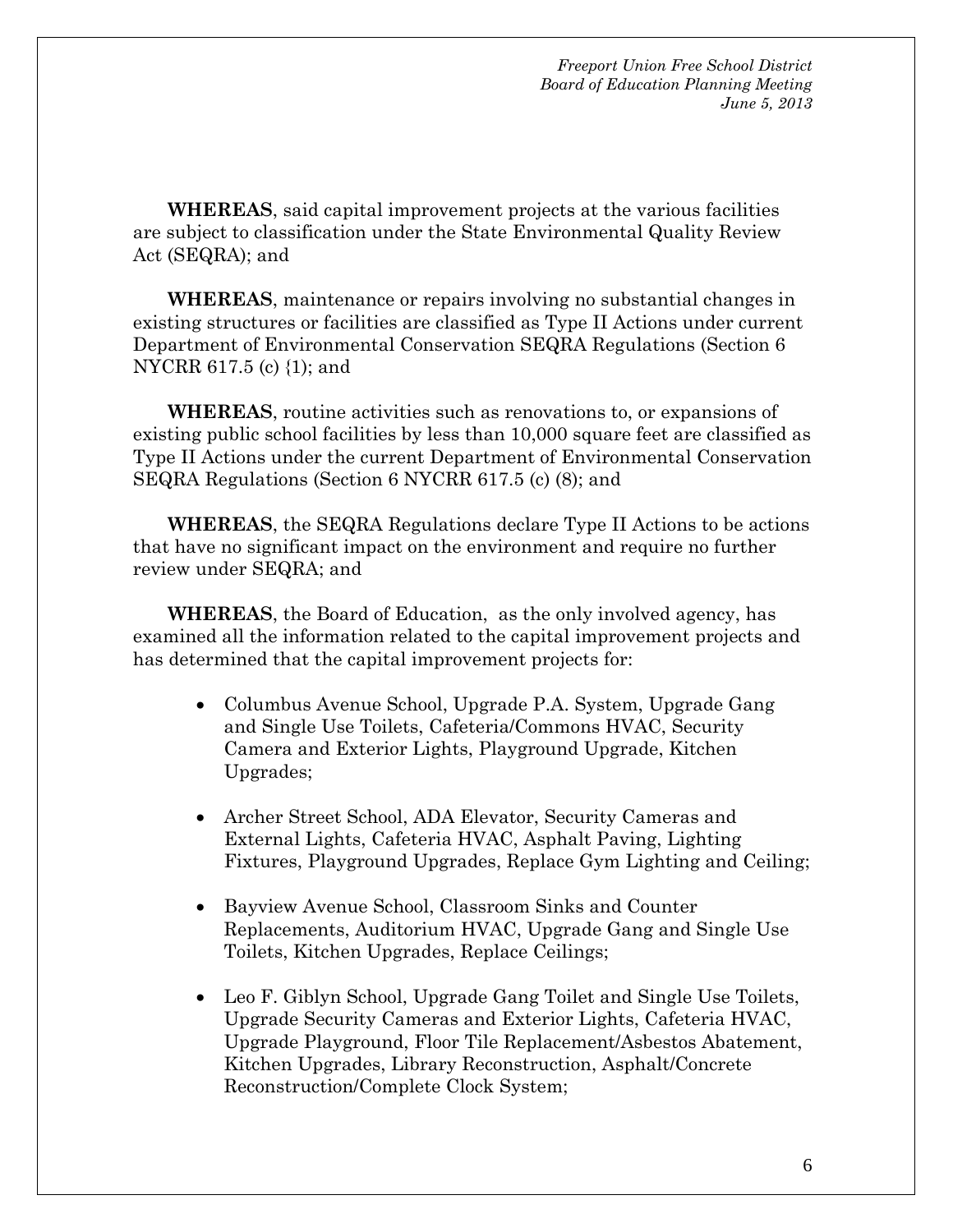**WHEREAS**, said capital improvement projects at the various facilities are subject to classification under the State Environmental Quality Review Act (SEQRA); and

**WHEREAS**, maintenance or repairs involving no substantial changes in existing structures or facilities are classified as Type II Actions under current Department of Environmental Conservation SEQRA Regulations (Section 6 NYCRR 617.5 (c) {1); and

**WHEREAS**, routine activities such as renovations to, or expansions of existing public school facilities by less than 10,000 square feet are classified as Type II Actions under the current Department of Environmental Conservation SEQRA Regulations (Section 6 NYCRR 617.5 (c) (8); and

**WHEREAS**, the SEQRA Regulations declare Type II Actions to be actions that have no significant impact on the environment and require no further review under SEQRA; and

**WHEREAS**, the Board of Education, as the only involved agency, has examined all the information related to the capital improvement projects and has determined that the capital improvement projects for:

- Columbus Avenue School, Upgrade P.A. System, Upgrade Gang and Single Use Toilets, Cafeteria/Commons HVAC, Security Camera and Exterior Lights, Playground Upgrade, Kitchen Upgrades;
- Archer Street School, ADA Elevator, Security Cameras and External Lights, Cafeteria HVAC, Asphalt Paving, Lighting Fixtures, Playground Upgrades, Replace Gym Lighting and Ceiling;
- Bayview Avenue School, Classroom Sinks and Counter Replacements, Auditorium HVAC, Upgrade Gang and Single Use Toilets, Kitchen Upgrades, Replace Ceilings;
- Leo F. Giblyn School, Upgrade Gang Toilet and Single Use Toilets, Upgrade Security Cameras and Exterior Lights, Cafeteria HVAC, Upgrade Playground, Floor Tile Replacement/Asbestos Abatement, Kitchen Upgrades, Library Reconstruction, Asphalt/Concrete Reconstruction/Complete Clock System;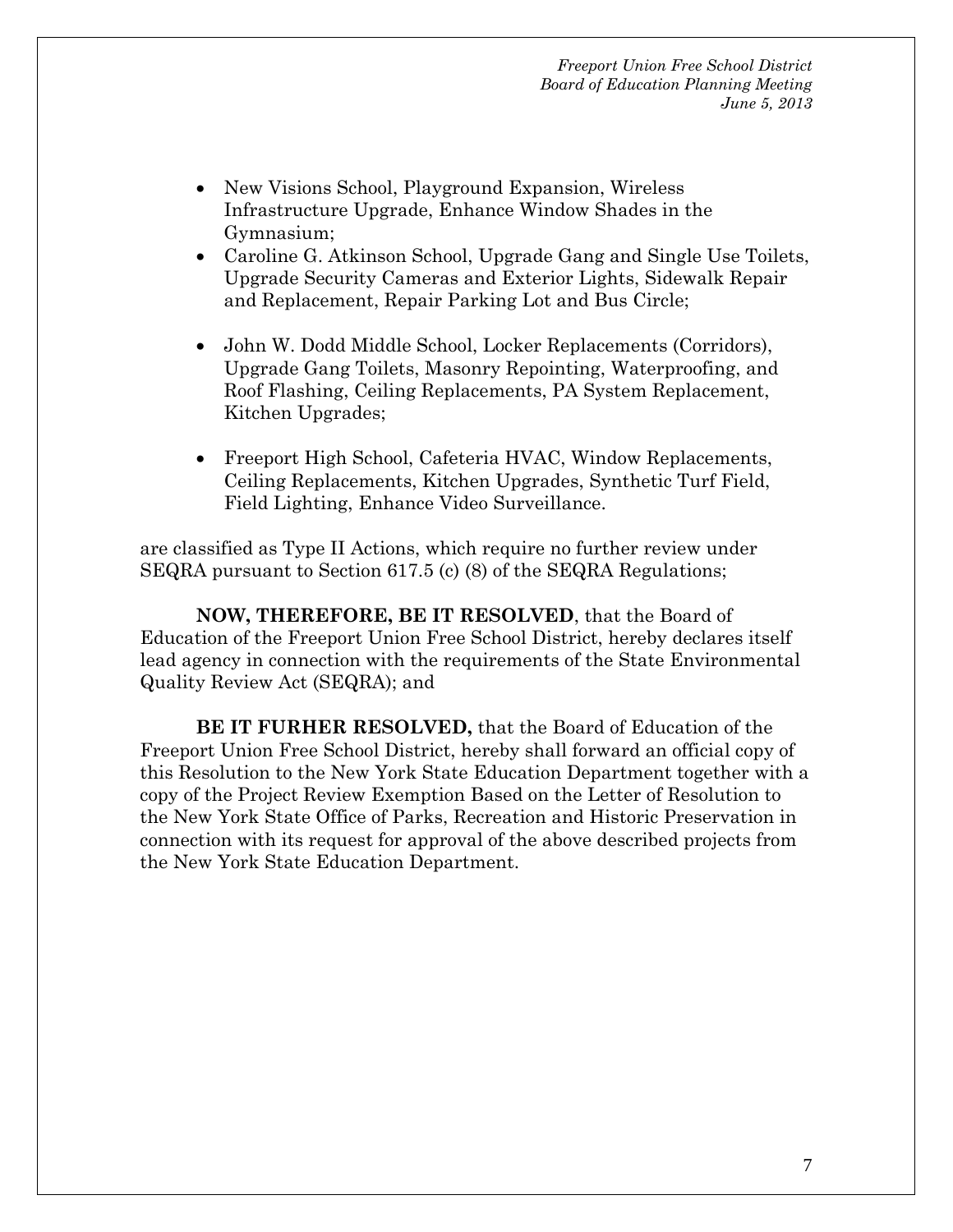- New Visions School, Playground Expansion, Wireless Infrastructure Upgrade, Enhance Window Shades in the Gymnasium;
- Caroline G. Atkinson School, Upgrade Gang and Single Use Toilets, Upgrade Security Cameras and Exterior Lights, Sidewalk Repair and Replacement, Repair Parking Lot and Bus Circle;
- John W. Dodd Middle School, Locker Replacements (Corridors), Upgrade Gang Toilets, Masonry Repointing, Waterproofing, and Roof Flashing, Ceiling Replacements, PA System Replacement, Kitchen Upgrades;
- Freeport High School, Cafeteria HVAC, Window Replacements, Ceiling Replacements, Kitchen Upgrades, Synthetic Turf Field, Field Lighting, Enhance Video Surveillance.

are classified as Type II Actions, which require no further review under SEQRA pursuant to Section 617.5 (c) (8) of the SEQRA Regulations;

**NOW, THEREFORE, BE IT RESOLVED**, that the Board of Education of the Freeport Union Free School District, hereby declares itself lead agency in connection with the requirements of the State Environmental Quality Review Act (SEQRA); and

**BE IT FURHER RESOLVED,** that the Board of Education of the Freeport Union Free School District, hereby shall forward an official copy of this Resolution to the New York State Education Department together with a copy of the Project Review Exemption Based on the Letter of Resolution to the New York State Office of Parks, Recreation and Historic Preservation in connection with its request for approval of the above described projects from the New York State Education Department.